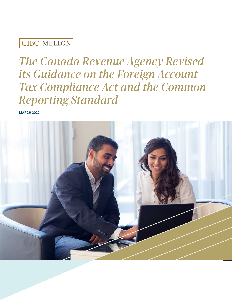## CIBC MELLON

# *The Canada Revenue Agency Revised its Guidance on the Foreign Account Tax Compliance Act and the Common Reporting Standard*

**MARCH 2022**

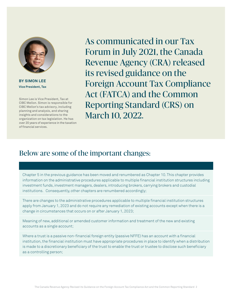

**BY SIMON LEE Vice President, Tax**

Simon Lee is Vice President, Tax at CIBC Mellon. Simon is responsible for CIBC Mellon's tax advisory, including planning and analysis, and sharing insights and considerations to the organization on tax legislation. He has over 20 years of experience in the taxation of financial services.

As communicated in our Tax Forum in July 2021, the Canada Revenue Agency (CRA) released its revised guidance on the Foreign Account Tax Compliance Act (FATCA) and the Common Reporting Standard (CRS) on March 10, 2022.

## Below are some of the important changes:

Chapter 5 in the previous guidance has been moved and renumbered as Chapter 10. This chapter provides information on the administrative procedures applicable to multiple financial institution structures including investment funds, investment managers, dealers, introducing brokers, carrying brokers and custodial institutions. Consequently, other chapters are renumbered accordingly;

There are changes to the administrative procedures applicable to multiple financial institution structures apply from January 1, 2023 and do not require any remediation of existing accounts except when there is a change in circumstances that occurs on or after January 1, 2023;

Meaning of new, additional or amended customer information and treatment of the new and existing accounts as a single account;

Where a trust is a passive non-financial foreign entity (passive NFFE) has an account with a financial institution, the financial institution must have appropriate procedures in place to identify when a distribution is made to a discretionary beneficiary of the trust to enable the trust or trustee to disclose such beneficiary as a controlling person;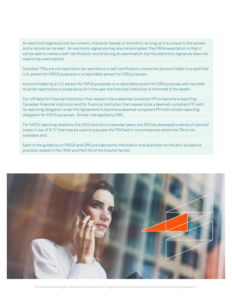An electronic signature can be numeric, character-based, or biometric, as long as it is unique to the person and a record can be kept. An electronic signature may also be encrypted. The CRA's expectation is that it will be able to review a self-certification record during an examination, but the electronic signature does not need to be unencrypted;

Canadian TINs are not required to be reported on a self-certification unless the account holder is a specified U.S. person for FATCA purposes or a reportable person for CRS purposes;

Account holder by a U.S. person for FATCA purposes or a reportable person for CRS purposes who has died must be reported as a closed account in the year the financial institution is informed of the death;

Cut-off date for financial institution that ceases to be a deemed-compliant FFI to become a reporting Canadian financial institution and for financial institution that ceases to be a deemed-compliant FFI with no reporting obligation under the Agreement to become a deemed-compliant FFI with limited reporting obligation for FATCA purposes. Similar rule applies to CRS;

For FATCA reporting related to the 2020 and future calendar years, the IRS has developed a series of optional codes in lieu of 9 "0" that may be used to populate the TIN field in circumstances where the TIN is not available; and

Each of the guidance on FATCA and CRS provides some information and examples on the anti-avoidance provision stated in Part XVIII and Part XIX of the Income Tax Act.



The Canada Revenue Agency Revised its Guidance on the Foreign Account Tax Compliance Act and the Common Reporting Standard 3